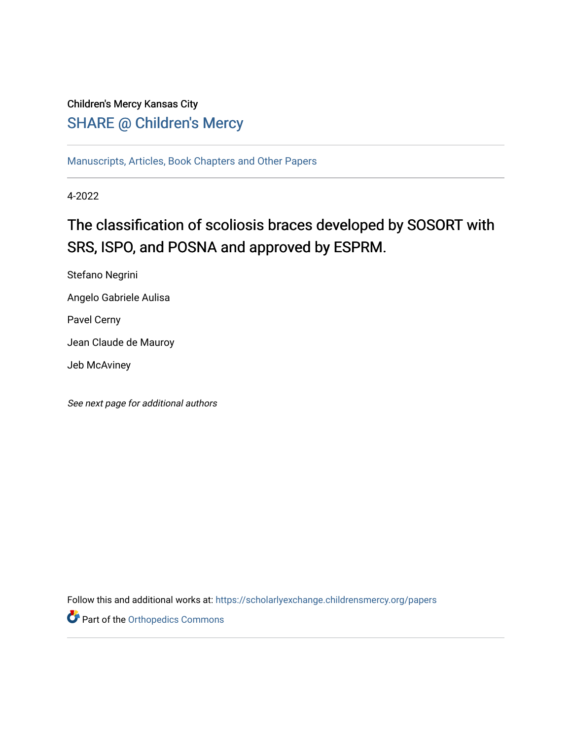# Children's Mercy Kansas City

# SHARE @ Children's Mercy

[Manuscripts, Articles, Book Chapters and Other Papers](https://scholarlyexchange.childrensmercy.org/papers)

4-2022

# The classification of scoliosis braces developed by SOSORT with SRS, ISPO, and POSNA and approved by ESPRM.

Stefano Negrini Angelo Gabriele Aulisa Pavel Cerny

Jean Claude de Mauroy

Jeb McAviney

See next page for additional authors

Follow this and additional works at: [https://scholarlyexchange.childrensmercy.org/papers](https://scholarlyexchange.childrensmercy.org/papers?utm_source=scholarlyexchange.childrensmercy.org%2Fpapers%2F4394&utm_medium=PDF&utm_campaign=PDFCoverPages) 

Part of the [Orthopedics Commons](http://network.bepress.com/hgg/discipline/696?utm_source=scholarlyexchange.childrensmercy.org%2Fpapers%2F4394&utm_medium=PDF&utm_campaign=PDFCoverPages)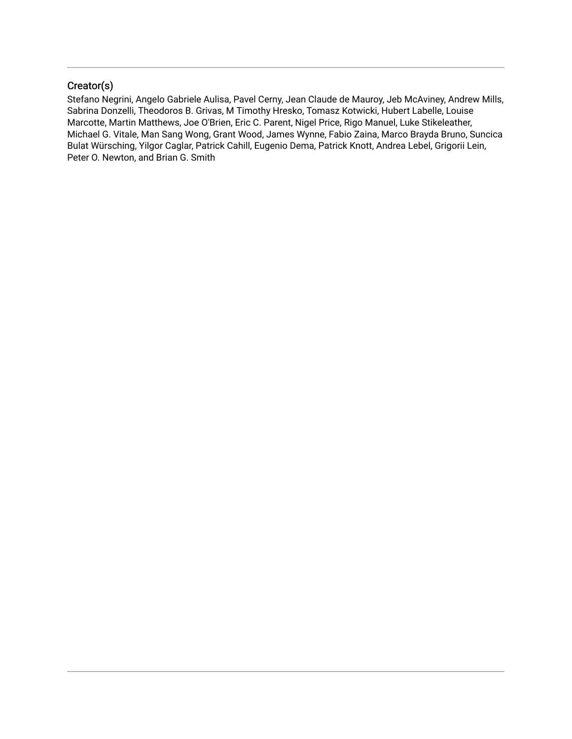## Creator(s)

Stefano Negrini, Angelo Gabriele Aulisa, Pavel Cerny, Jean Claude de Mauroy, Jeb McAviney, Andrew Mills, Sabrina Donzelli, Theodoros B. Grivas, M Timothy Hresko, Tomasz Kotwicki, Hubert Labelle, Louise Marcotte, Martin Matthews, Joe O'Brien, Eric C. Parent, Nigel Price, Rigo Manuel, Luke Stikeleather, Michael G. Vitale, Man Sang Wong, Grant Wood, James Wynne, Fabio Zaina, Marco Brayda Bruno, Suncica Bulat Würsching, Yilgor Caglar, Patrick Cahill, Eugenio Dema, Patrick Knott, Andrea Lebel, Grigorii Lein, Peter O. Newton, and Brian G. Smith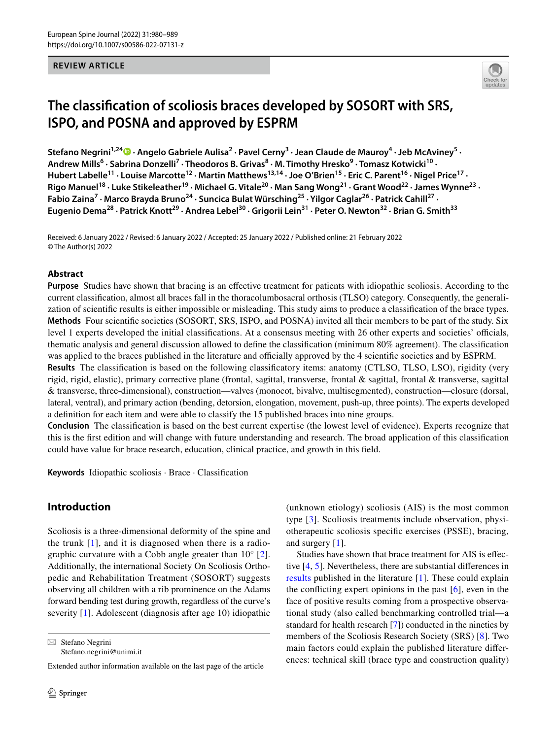#### **REVIEW ARTICLE**



# **The classifcation of scoliosis braces developed by SOSORT with SRS, ISPO, and POSNA and approved by ESPRM**

StefanoNegrini<sup>1,24</sup> D · Angelo Gabriele Aulisa<sup>2</sup> · Pavel Cerny<sup>3</sup> · Jean Claude de Mauroy<sup>4</sup> · Jeb McAviney<sup>5</sup> · Andrew Mills<sup>6</sup> · Sabrina Donzelli<sup>7</sup> · Theodoros B. Grivas<sup>8</sup> · M. Timothy Hresko<sup>9</sup> · Tomasz Kotwicki<sup>10</sup> · Hubert Labelle<sup>11</sup> · Louise Marcotte<sup>12</sup> · Martin Matthews<sup>13,14</sup> · Joe O'Brien<sup>15</sup> · Eric C. Parent<sup>16</sup> · Nigel Price<sup>17</sup> · **Rigo Manuel18 · Luke Stikeleather19 · Michael G. Vitale20 · Man Sang Wong21 · Grant Wood22 · James Wynne23 ·**  Fabio Zaina<sup>7</sup> · Marco Brayda Bruno<sup>24</sup> · Suncica Bulat Würsching<sup>25</sup> · Yilgor Caglar<sup>26</sup> · Patrick Cahill<sup>27</sup> · Eugenio Dema<sup>28</sup> · Patrick Knott<sup>29</sup> · Andrea Lebel<sup>30</sup> · Grigorii Lein<sup>31</sup> · Peter O. Newton<sup>32</sup> · Brian G. Smith<sup>33</sup>

Received: 6 January 2022 / Revised: 6 January 2022 / Accepted: 25 January 2022 / Published online: 21 February 2022 © The Author(s) 2022

#### **Abstract**

**Purpose** Studies have shown that bracing is an efective treatment for patients with idiopathic scoliosis. According to the current classifcation, almost all braces fall in the thoracolumbosacral orthosis (TLSO) category. Consequently, the generalization of scientifc results is either impossible or misleading. This study aims to produce a classifcation of the brace types. **Methods** Four scientifc societies (SOSORT, SRS, ISPO, and POSNA) invited all their members to be part of the study. Six level 1 experts developed the initial classifications. At a consensus meeting with 26 other experts and societies' officials, thematic analysis and general discussion allowed to defne the classifcation (minimum 80% agreement). The classifcation was applied to the braces published in the literature and officially approved by the 4 scientific societies and by ESPRM. **Results** The classifcation is based on the following classifcatory items: anatomy (CTLSO, TLSO, LSO), rigidity (very

rigid, rigid, elastic), primary corrective plane (frontal, sagittal, transverse, frontal & sagittal, frontal & transverse, sagittal & transverse, three-dimensional), construction—valves (monocot, bivalve, multisegmented), construction—closure (dorsal, lateral, ventral), and primary action (bending, detorsion, elongation, movement, push-up, three points). The experts developed a defnition for each item and were able to classify the 15 published braces into nine groups.

**Conclusion** The classifcation is based on the best current expertise (the lowest level of evidence). Experts recognize that this is the frst edition and will change with future understanding and research. The broad application of this classifcation could have value for brace research, education, clinical practice, and growth in this feld.

**Keywords** Idiopathic scoliosis · Brace · Classifcation

## **Introduction**

Scoliosis is a three-dimensional deformity of the spine and the trunk  $[1]$  $[1]$ , and it is diagnosed when there is a radiographic curvature with a Cobb angle greater than 10° [\[2](#page-9-1)]. Additionally, the international Society On Scoliosis Orthopedic and Rehabilitation Treatment (SOSORT) suggests observing all children with a rib prominence on the Adams forward bending test during growth, regardless of the curve's severity [[1\]](#page-9-0). Adolescent (diagnosis after age 10) idiopathic

 $\boxtimes$  Stefano Negrini Stefano.negrini@unimi.it

Extended author information available on the last page of the article

(unknown etiology) scoliosis (AIS) is the most common type [\[3\]](#page-9-2). Scoliosis treatments include observation, physiotherapeutic scoliosis specifc exercises (PSSE), bracing, and surgery [\[1](#page-9-0)].

Studies have shown that brace treatment for AIS is efective [[4,](#page-9-3) [5\]](#page-9-4). Nevertheless, there are substantial diferences in [results](#page-4-0) published in the literature [[1\]](#page-9-0). These could explain the conflicting expert opinions in the past  $[6]$  $[6]$  $[6]$ , even in the face of positive results coming from a prospective observational study (also called benchmarking controlled trial—a standard for health research [\[7](#page-9-6)]) conducted in the nineties by members of the Scoliosis Research Society (SRS) [\[8](#page-9-7)]. Two main factors could explain the published literature diferences: technical skill (brace type and construction quality)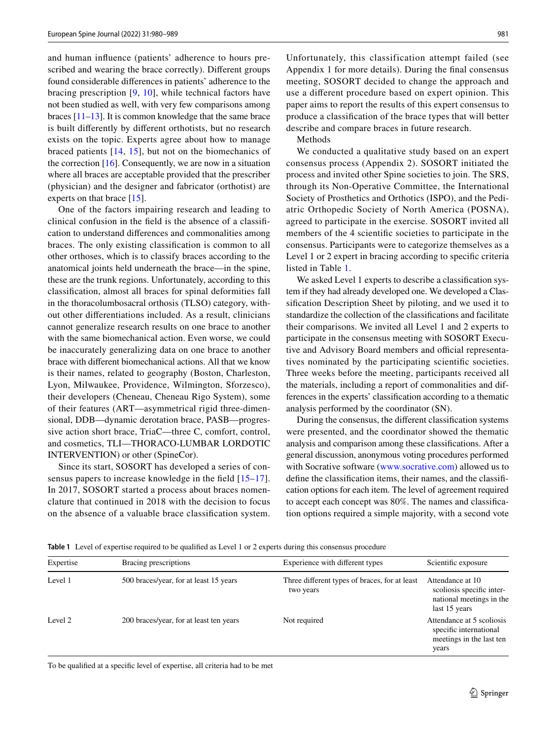and human infuence (patients' adherence to hours prescribed and wearing the brace correctly). Diferent groups found considerable diferences in patients' adherence to the bracing prescription [[9,](#page-9-8) [10](#page-9-9)], while technical factors have not been studied as well, with very few comparisons among braces [[11–](#page-9-10)[13\]](#page-9-11). It is common knowledge that the same brace is built diferently by diferent orthotists, but no research exists on the topic. Experts agree about how to manage braced patients [\[14,](#page-9-12) [15](#page-9-13)], but not on the biomechanics of the correction  $[16]$  $[16]$ . Consequently, we are now in a situation where all braces are acceptable provided that the prescriber (physician) and the designer and fabricator (orthotist) are experts on that brace [[15\]](#page-9-13).

One of the factors impairing research and leading to clinical confusion in the feld is the absence of a classifcation to understand diferences and commonalities among braces. The only existing classifcation is common to all other orthoses, which is to classify braces according to the anatomical joints held underneath the brace—in the spine, these are the trunk regions. Unfortunately, according to this classifcation, almost all braces for spinal deformities fall in the thoracolumbosacral orthosis (TLSO) category, without other diferentiations included. As a result, clinicians cannot generalize research results on one brace to another with the same biomechanical action. Even worse, we could be inaccurately generalizing data on one brace to another brace with diferent biomechanical actions. All that we know is their names, related to geography (Boston, Charleston, Lyon, Milwaukee, Providence, Wilmington, Sforzesco), their developers (Cheneau, Cheneau Rigo System), some of their features (ART—asymmetrical rigid three-dimensional, DDB—dynamic derotation brace, PASB—progressive action short brace, TriaC—three C, comfort, control, and cosmetics, TLI—THORACO-LUMBAR LORDOTIC INTERVENTION) or other (SpineCor).

Since its start, SOSORT has developed a series of consensus papers to increase knowledge in the field  $[15-17]$  $[15-17]$  $[15-17]$ . In 2017, SOSORT started a process about braces nomenclature that continued in 2018 with the decision to focus on the absence of a valuable brace classifcation system.

Unfortunately, this classification attempt failed (see Appendix 1 for more details). During the fnal consensus meeting, SOSORT decided to change the approach and use a diferent procedure based on expert opinion. This paper aims to report the results of this expert consensus to produce a classifcation of the brace types that will better describe and compare braces in future research.

#### Methods

We conducted a qualitative study based on an expert consensus process (Appendix 2). SOSORT initiated the process and invited other Spine societies to join. The SRS, through its Non-Operative Committee, the International Society of Prosthetics and Orthotics (ISPO), and the Pediatric Orthopedic Society of North America (POSNA), agreed to participate in the exercise. SOSORT invited all members of the 4 scientifc societies to participate in the consensus. Participants were to categorize themselves as a Level 1 or 2 expert in bracing according to specifc criteria listed in Table [1](#page-3-0).

We asked Level 1 experts to describe a classifcation system if they had already developed one. We developed a Classifcation Description Sheet by piloting, and we used it to standardize the collection of the classifcations and facilitate their comparisons. We invited all Level 1 and 2 experts to participate in the consensus meeting with SOSORT Executive and Advisory Board members and official representatives nominated by the participating scientifc societies. Three weeks before the meeting, participants received all the materials, including a report of commonalities and differences in the experts' classifcation according to a thematic analysis performed by the coordinator (SN).

During the consensus, the diferent classifcation systems were presented, and the coordinator showed the thematic analysis and comparison among these classifcations. After a general discussion, anonymous voting procedures performed with Socrative software [\(www.socrative.com](http://www.socrative.com)) allowed us to defne the classifcation items, their names, and the classifcation options for each item. The level of agreement required to accept each concept was 80%. The names and classifcation options required a simple majority, with a second vote

| Expertise | Bracing prescriptions                   | Experience with different types                            | Scientific exposure                                                                        |
|-----------|-----------------------------------------|------------------------------------------------------------|--------------------------------------------------------------------------------------------|
| Level 1   | 500 braces/year, for at least 15 years  | Three different types of braces, for at least<br>two years | Attendance at 10<br>scoliosis specific inter-<br>national meetings in the<br>last 15 years |
| Level 2   | 200 braces/year, for at least ten years | Not required                                               | Attendance at 5 scoliosis<br>specific international<br>meetings in the last ten<br>years   |

<span id="page-3-0"></span>**Table 1** Level of expertise required to be qualifed as Level 1 or 2 experts during this consensus procedure

To be qualifed at a specifc level of expertise, all criteria had to be met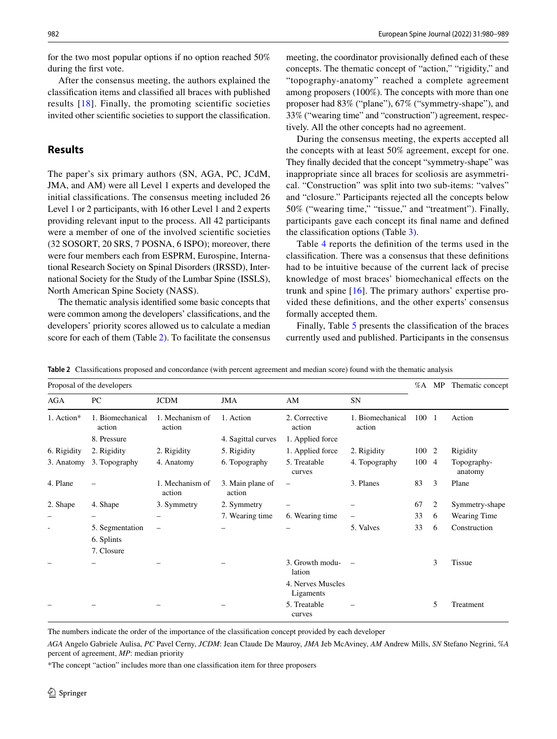for the two most popular options if no option reached 50% during the frst vote.

After the consensus meeting, the authors explained the classifcation items and classifed all braces with published results [[18](#page-9-16)]. Finally, the promoting scientific societies invited other scientifc societies to support the classifcation.

## <span id="page-4-0"></span>**Results**

The paper's six primary authors (SN, AGA, PC, JCdM, JMA, and AM) were all Level 1 experts and developed the initial classifcations. The consensus meeting included 26 Level 1 or 2 participants, with 16 other Level 1 and 2 experts providing relevant input to the process. All 42 participants were a member of one of the involved scientifc societies (32 SOSORT, 20 SRS, 7 POSNA, 6 ISPO); moreover, there were four members each from ESPRM, Eurospine, International Research Society on Spinal Disorders (IRSSD), International Society for the Study of the Lumbar Spine (ISSLS), North American Spine Society (NASS).

The thematic analysis identifed some basic concepts that were common among the developers' classifcations, and the developers' priority scores allowed us to calculate a median score for each of them (Table [2](#page-4-1)). To facilitate the consensus

meeting, the coordinator provisionally defned each of these concepts. The thematic concept of "action," "rigidity," and "topography-anatomy" reached a complete agreement among proposers (100%). The concepts with more than one proposer had 83% ("plane"), 67% ("symmetry-shape"), and 33% ("wearing time" and "construction") agreement, respectively. All the other concepts had no agreement.

During the consensus meeting, the experts accepted all the concepts with at least 50% agreement, except for one. They fnally decided that the concept "symmetry-shape" was inappropriate since all braces for scoliosis are asymmetrical. "Construction" was split into two sub-items: "valves" and "closure." Participants rejected all the concepts below 50% ("wearing time," "tissue," and "treatment"). Finally, participants gave each concept its fnal name and defned the classifcation options (Table [3](#page-5-0)).

Table [4](#page-6-0) reports the defnition of the terms used in the classifcation. There was a consensus that these defnitions had to be intuitive because of the current lack of precise knowledge of most braces' biomechanical efects on the trunk and spine [[16](#page-9-14)]. The primary authors' expertise provided these defnitions, and the other experts' consensus formally accepted them.

Finally, Table [5](#page-7-0) presents the classifcation of the braces currently used and published. Participants in the consensus

<span id="page-4-1"></span>

|  | Table 2 Classifications proposed and concordance (with percent agreement and median score) found with the thematic analysis |  |  |  |  |  |  |  |  |
|--|-----------------------------------------------------------------------------------------------------------------------------|--|--|--|--|--|--|--|--|
|--|-----------------------------------------------------------------------------------------------------------------------------|--|--|--|--|--|--|--|--|

| Proposal of the developers |                               |                           |                            | %A                             | MP                         | Thematic concept |                |                        |
|----------------------------|-------------------------------|---------------------------|----------------------------|--------------------------------|----------------------------|------------------|----------------|------------------------|
| <b>AGA</b>                 | PC                            | <b>JCDM</b>               | JMA                        | AM                             | SN                         |                  |                |                        |
| 1. Action*                 | 1. Biomechanical<br>action    | 1. Mechanism of<br>action | 1. Action                  | 2. Corrective<br>action        | 1. Biomechanical<br>action | 100 1            |                | Action                 |
|                            | 8. Pressure                   |                           | 4. Sagittal curves         | 1. Applied force               |                            |                  |                |                        |
| 6. Rigidity                | 2. Rigidity                   | 2. Rigidity               | 5. Rigidity                | 1. Applied force               | 2. Rigidity                | 100 2            |                | Rigidity               |
| 3. Anatomy                 | 3. Topography                 | 4. Anatomy                | 6. Topography              | 5. Treatable<br>curves         | 4. Topography              | 100              | $\overline{4}$ | Topography-<br>anatomy |
| 4. Plane                   |                               | 1. Mechanism of<br>action | 3. Main plane of<br>action | $\overline{\phantom{0}}$       | 3. Planes                  | 83               | 3              | Plane                  |
| 2. Shape                   | 4. Shape                      | 3. Symmetry               | 2. Symmetry                |                                |                            | 67               | 2              | Symmetry-shape         |
|                            |                               |                           | 7. Wearing time            | 6. Wearing time                |                            | 33               | 6              | Wearing Time           |
| ٠                          | 5. Segmentation<br>6. Splints | $\overline{\phantom{0}}$  |                            |                                | 5. Valves                  | 33               | 6              | Construction           |
|                            | 7. Closure                    |                           |                            |                                |                            |                  |                |                        |
|                            |                               |                           |                            | 3. Growth modu-<br>lation      |                            |                  | 3              | <b>Tissue</b>          |
|                            |                               |                           |                            | 4. Nerves Muscles<br>Ligaments |                            |                  |                |                        |
|                            |                               |                           |                            | 5. Treatable<br>curves         |                            |                  | 5              | Treatment              |

The numbers indicate the order of the importance of the classifcation concept provided by each developer

*AGA* Angelo Gabriele Aulisa, *PC* Pavel Cerny, *JCDM*: Jean Claude De Mauroy, *JMA* Jeb McAviney, *AM* Andrew Mills, *SN* Stefano Negrini, *%A* percent of agreement, *MP*: median priority

\*The concept "action" includes more than one classifcation item for three proposers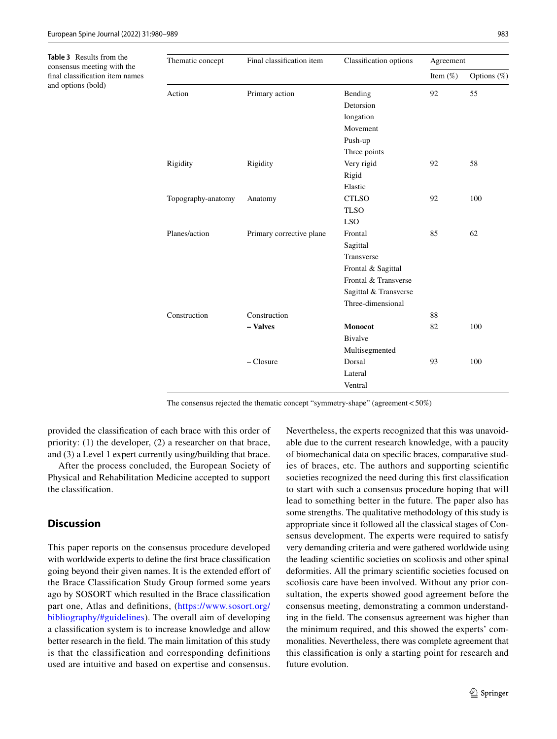<span id="page-5-0"></span>**Table 3** Results from the consensus meeting with the fnal classifcation item names and options (bold)

| Thematic concept   | Final classification item | Classification options | Agreement   |             |  |
|--------------------|---------------------------|------------------------|-------------|-------------|--|
|                    |                           |                        | Item $(\%)$ | Options (%) |  |
| Action             | Primary action            | Bending                | 92          | 55          |  |
|                    |                           | Detorsion              |             |             |  |
|                    |                           | longation              |             |             |  |
|                    |                           | Movement               |             |             |  |
|                    |                           | Push-up                |             |             |  |
|                    |                           | Three points           |             |             |  |
| Rigidity           | Rigidity                  | Very rigid             | 92          | 58          |  |
|                    |                           | Rigid                  |             |             |  |
|                    |                           | Elastic                |             |             |  |
| Topography-anatomy | Anatomy                   | <b>CTLSO</b>           | 92          | 100         |  |
|                    |                           | <b>TLSO</b>            |             |             |  |
|                    |                           | <b>LSO</b>             |             |             |  |
| Planes/action      | Primary corrective plane  | Frontal                | 85          | 62          |  |
|                    |                           | Sagittal               |             |             |  |
|                    |                           | Transverse             |             |             |  |
|                    |                           | Frontal & Sagittal     |             |             |  |
|                    |                           | Frontal & Transverse   |             |             |  |
|                    |                           | Sagittal & Transverse  |             |             |  |
|                    |                           | Three-dimensional      |             |             |  |
| Construction       | Construction              |                        | 88          |             |  |
|                    | - Valves                  | <b>Monocot</b>         | 82          | 100         |  |
|                    |                           | <b>Bivalve</b>         |             |             |  |
|                    |                           | Multisegmented         |             |             |  |
|                    | $-$ Closure               | Dorsal                 | 93          | 100         |  |
|                    |                           | Lateral                |             |             |  |
|                    |                           | Ventral                |             |             |  |

The consensus rejected the thematic concept "symmetry-shape" (agreement<50%)

provided the classifcation of each brace with this order of priority: (1) the developer, (2) a researcher on that brace, and (3) a Level 1 expert currently using/building that brace.

After the process concluded, the European Society of Physical and Rehabilitation Medicine accepted to support the classifcation.

#### **Discussion**

This paper reports on the consensus procedure developed with worldwide experts to defne the frst brace classifcation going beyond their given names. It is the extended effort of the Brace Classifcation Study Group formed some years ago by SOSORT which resulted in the Brace classifcation part one, Atlas and defnitions, ([https://www.sosort.org/](https://www.sosort.org/bibliography/#guidelines) [bibliography/#guidelines\)](https://www.sosort.org/bibliography/#guidelines). The overall aim of developing a classifcation system is to increase knowledge and allow better research in the feld. The main limitation of this study is that the classification and corresponding definitions used are intuitive and based on expertise and consensus.

Nevertheless, the experts recognized that this was unavoidable due to the current research knowledge, with a paucity of biomechanical data on specifc braces, comparative studies of braces, etc. The authors and supporting scientifc societies recognized the need during this frst classifcation to start with such a consensus procedure hoping that will lead to something better in the future. The paper also has some strengths. The qualitative methodology of this study is appropriate since it followed all the classical stages of Consensus development. The experts were required to satisfy very demanding criteria and were gathered worldwide using the leading scientifc societies on scoliosis and other spinal deformities. All the primary scientifc societies focused on scoliosis care have been involved. Without any prior consultation, the experts showed good agreement before the consensus meeting, demonstrating a common understanding in the feld. The consensus agreement was higher than the minimum required, and this showed the experts' commonalities. Nevertheless, there was complete agreement that this classifcation is only a starting point for research and future evolution.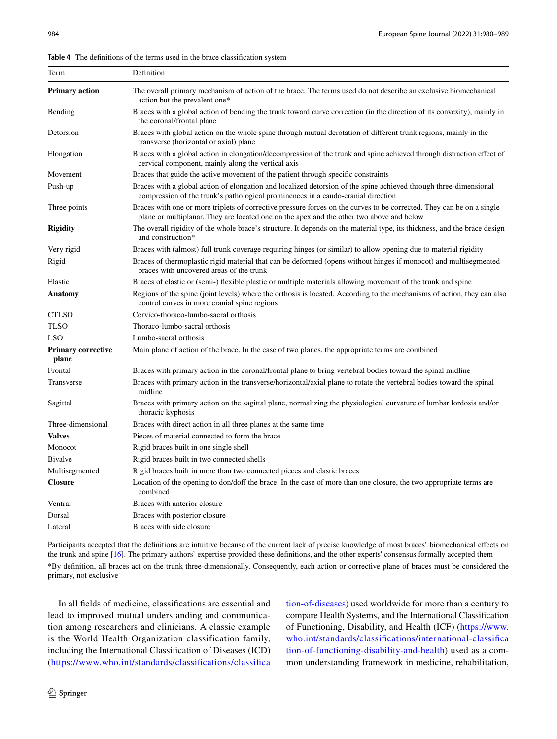| Term                               | Definition                                                                                                                                                                                                        |
|------------------------------------|-------------------------------------------------------------------------------------------------------------------------------------------------------------------------------------------------------------------|
| <b>Primary action</b>              | The overall primary mechanism of action of the brace. The terms used do not describe an exclusive biomechanical<br>action but the prevalent one*                                                                  |
| Bending                            | Braces with a global action of bending the trunk toward curve correction (in the direction of its convexity), mainly in<br>the coronal/frontal plane                                                              |
| Detorsion                          | Braces with global action on the whole spine through mutual derotation of different trunk regions, mainly in the<br>transverse (horizontal or axial) plane                                                        |
| Elongation                         | Braces with a global action in elongation/decompression of the trunk and spine achieved through distraction effect of<br>cervical component, mainly along the vertical axis                                       |
| Movement                           | Braces that guide the active movement of the patient through specific constraints                                                                                                                                 |
| Push-up                            | Braces with a global action of elongation and localized detorsion of the spine achieved through three-dimensional<br>compression of the trunk's pathological prominences in a caudo-cranial direction             |
| Three points                       | Braces with one or more triplets of corrective pressure forces on the curves to be corrected. They can be on a single<br>plane or multiplanar. They are located one on the apex and the other two above and below |
| <b>Rigidity</b>                    | The overall rigidity of the whole brace's structure. It depends on the material type, its thickness, and the brace design<br>and construction*                                                                    |
| Very rigid                         | Braces with (almost) full trunk coverage requiring hinges (or similar) to allow opening due to material rigidity                                                                                                  |
| Rigid                              | Braces of thermoplastic rigid material that can be deformed (opens without hinges if monocot) and multisegmented<br>braces with uncovered areas of the trunk                                                      |
| Elastic                            | Braces of elastic or (semi-) flexible plastic or multiple materials allowing movement of the trunk and spine                                                                                                      |
| Anatomy                            | Regions of the spine (joint levels) where the orthosis is located. According to the mechanisms of action, they can also<br>control curves in more cranial spine regions                                           |
| CTLSO                              | Cervico-thoraco-lumbo-sacral orthosis                                                                                                                                                                             |
| TLSO                               | Thoraco-lumbo-sacral orthosis                                                                                                                                                                                     |
| LSO                                | Lumbo-sacral orthosis                                                                                                                                                                                             |
| <b>Primary corrective</b><br>plane | Main plane of action of the brace. In the case of two planes, the appropriate terms are combined                                                                                                                  |
| Frontal                            | Braces with primary action in the coronal/frontal plane to bring vertebral bodies toward the spinal midline                                                                                                       |
| Transverse                         | Braces with primary action in the transverse/horizontal/axial plane to rotate the vertebral bodies toward the spinal<br>midline                                                                                   |
| Sagittal                           | Braces with primary action on the sagittal plane, normalizing the physiological curvature of lumbar lordosis and/or<br>thoracic kyphosis                                                                          |
| Three-dimensional                  | Braces with direct action in all three planes at the same time                                                                                                                                                    |
| <b>Valves</b>                      | Pieces of material connected to form the brace                                                                                                                                                                    |
| Monocot                            | Rigid braces built in one single shell                                                                                                                                                                            |
| <b>Bivalve</b>                     | Rigid braces built in two connected shells                                                                                                                                                                        |
| Multisegmented                     | Rigid braces built in more than two connected pieces and elastic braces                                                                                                                                           |
| <b>Closure</b>                     | Location of the opening to don/doff the brace. In the case of more than one closure, the two appropriate terms are<br>combined                                                                                    |
| Ventral                            | Braces with anterior closure                                                                                                                                                                                      |
| Dorsal                             | Braces with posterior closure                                                                                                                                                                                     |
| Lateral                            | Braces with side closure                                                                                                                                                                                          |

<span id="page-6-0"></span>**Table 4** The defnitions of the terms used in the brace classifcation system

Participants accepted that the defnitions are intuitive because of the current lack of precise knowledge of most braces' biomechanical efects on the trunk and spine [\[16\]](#page-9-14). The primary authors' expertise provided these defnitions, and the other experts' consensus formally accepted them \*By defnition, all braces act on the trunk three-dimensionally. Consequently, each action or corrective plane of braces must be considered the primary, not exclusive

In all felds of medicine, classifcations are essential and lead to improved mutual understanding and communication among researchers and clinicians. A classic example is the World Health Organization classification family, including the International Classifcation of Diseases (ICD) ([https://www.who.int/standards/classifcations/classifca](https://www.who.int/standards/classifications/classification-of-diseases) [tion-of-diseases\)](https://www.who.int/standards/classifications/classification-of-diseases) used worldwide for more than a century to compare Health Systems, and the International Classifcation of Functioning, Disability, and Health (ICF) [\(https://www.](https://www.who.int/standards/classifications/international-classification-of-functioning-disability-and-health) [who.int/standards/classifcations/international-classifca](https://www.who.int/standards/classifications/international-classification-of-functioning-disability-and-health) [tion-of-functioning-disability-and-health\)](https://www.who.int/standards/classifications/international-classification-of-functioning-disability-and-health) used as a common understanding framework in medicine, rehabilitation,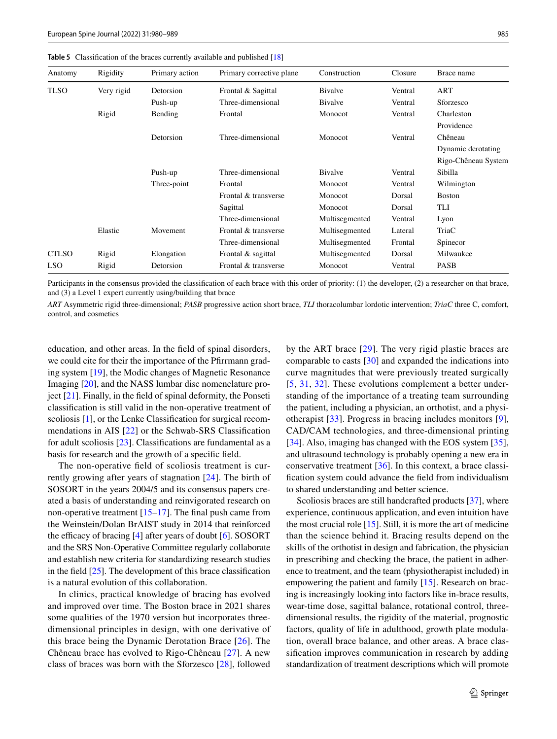| Anatomy      | Rigidity   | Primary action | Primary corrective plane | Construction   | Closure | Brace name          |
|--------------|------------|----------------|--------------------------|----------------|---------|---------------------|
| <b>TLSO</b>  | Very rigid | Detorsion      | Frontal & Sagittal       | <b>Bivalve</b> | Ventral | ART                 |
|              |            | Push-up        | Three-dimensional        | Bivalve        | Ventral | Sforzesco           |
|              | Rigid      | Bending        | Frontal                  | Monocot        | Ventral | Charleston          |
|              |            |                |                          |                |         | Providence          |
|              |            | Detorsion      | Three-dimensional        | Monocot        | Ventral | Chêneau             |
|              |            |                |                          |                |         | Dynamic derotating  |
|              |            |                |                          |                |         | Rigo-Chêneau System |
|              |            | Push-up        | Three-dimensional        | <b>Bivalve</b> | Ventral | Sibilla             |
|              |            | Three-point    | Frontal                  | Monocot        | Ventral | Wilmington          |
|              |            |                | Frontal & transverse     | Monocot        | Dorsal  | <b>Boston</b>       |
|              |            |                | Sagittal                 | Monocot        | Dorsal  | TLI                 |
|              |            |                | Three-dimensional        | Multisegmented | Ventral | Lyon                |
|              | Elastic    | Movement       | Frontal & transverse     | Multisegmented | Lateral | TriaC               |
|              |            |                | Three-dimensional        | Multisegmented | Frontal | Spinecor            |
| <b>CTLSO</b> | Rigid      | Elongation     | Frontal & sagittal       | Multisegmented | Dorsal  | Milwaukee           |
| <b>LSO</b>   | Rigid      | Detorsion      | Frontal & transverse     | Monocot        | Ventral | <b>PASB</b>         |

<span id="page-7-0"></span>**Table 5** Classifcation of the braces currently available and published [\[18\]](#page-9-16)

Participants in the consensus provided the classifcation of each brace with this order of priority: (1) the developer, (2) a researcher on that brace, and (3) a Level 1 expert currently using/building that brace

*ART* Asymmetric rigid three-dimensional; *PASB* progressive action short brace, *TLI* thoracolumbar lordotic intervention; *TriaC* three C, comfort, control, and cosmetics

education, and other areas. In the feld of spinal disorders, we could cite for their the importance of the Pfrrmann grading system [\[19](#page-9-17)], the Modic changes of Magnetic Resonance Imaging [[20\]](#page-9-18), and the NASS lumbar disc nomenclature project [[21\]](#page-9-19). Finally, in the feld of spinal deformity, the Ponseti classifcation is still valid in the non-operative treatment of scoliosis [\[1](#page-9-0)], or the Lenke Classification for surgical recommendations in AIS [\[22](#page-9-20)] or the Schwab-SRS Classifcation for adult scoliosis [[23\]](#page-9-21). Classifcations are fundamental as a basis for research and the growth of a specifc feld.

The non-operative feld of scoliosis treatment is currently growing after years of stagnation [\[24](#page-9-22)]. The birth of SOSORT in the years 2004/5 and its consensus papers created a basis of understanding and reinvigorated research on non-operative treatment  $[15-17]$  $[15-17]$  $[15-17]$ . The final push came from the Weinstein/Dolan BrAIST study in 2014 that reinforced the efficacy of bracing  $[4]$  $[4]$  after years of doubt  $[6]$  $[6]$  $[6]$ . SOSORT and the SRS Non-Operative Committee regularly collaborate and establish new criteria for standardizing research studies in the feld [\[25](#page-9-23)]. The development of this brace classifcation is a natural evolution of this collaboration.

In clinics, practical knowledge of bracing has evolved and improved over time. The Boston brace in 2021 shares some qualities of the 1970 version but incorporates threedimensional principles in design, with one derivative of this brace being the Dynamic Derotation Brace [[26](#page-9-24)]. The Chêneau brace has evolved to Rigo-Chêneau [[27](#page-10-0)]. A new class of braces was born with the Sforzesco [[28](#page-10-1)], followed by the ART brace [[29](#page-10-2)]. The very rigid plastic braces are comparable to casts [[30](#page-10-3)] and expanded the indications into curve magnitudes that were previously treated surgically [[5,](#page-9-4) [31,](#page-10-4) [32\]](#page-10-5). These evolutions complement a better understanding of the importance of a treating team surrounding the patient, including a physician, an orthotist, and a physiotherapist [[33\]](#page-10-6). Progress in bracing includes monitors [\[9](#page-9-8)], CAD/CAM technologies, and three-dimensional printing [[34\]](#page-10-7). Also, imaging has changed with the EOS system [\[35](#page-10-8)], and ultrasound technology is probably opening a new era in conservative treatment [\[36](#page-10-9)]. In this context, a brace classifcation system could advance the feld from individualism to shared understanding and better science.

Scoliosis braces are still handcrafted products [\[37](#page-10-10)], where experience, continuous application, and even intuition have the most crucial role  $[15]$  $[15]$ . Still, it is more the art of medicine than the science behind it. Bracing results depend on the skills of the orthotist in design and fabrication, the physician in prescribing and checking the brace, the patient in adherence to treatment, and the team (physiotherapist included) in empowering the patient and family [[15](#page-9-13)]. Research on bracing is increasingly looking into factors like in-brace results, wear-time dose, sagittal balance, rotational control, threedimensional results, the rigidity of the material, prognostic factors, quality of life in adulthood, growth plate modulation, overall brace balance, and other areas. A brace classifcation improves communication in research by adding standardization of treatment descriptions which will promote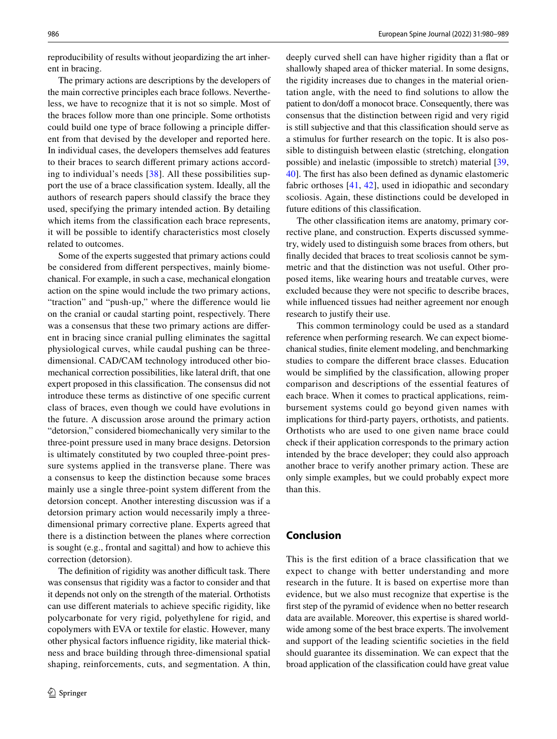reproducibility of results without jeopardizing the art inherent in bracing.

The primary actions are descriptions by the developers of the main corrective principles each brace follows. Nevertheless, we have to recognize that it is not so simple. Most of the braces follow more than one principle. Some orthotists could build one type of brace following a principle diferent from that devised by the developer and reported here. In individual cases, the developers themselves add features to their braces to search diferent primary actions according to individual's needs  $[38]$  $[38]$ . All these possibilities support the use of a brace classifcation system. Ideally, all the authors of research papers should classify the brace they used, specifying the primary intended action. By detailing which items from the classifcation each brace represents, it will be possible to identify characteristics most closely related to outcomes.

Some of the experts suggested that primary actions could be considered from diferent perspectives, mainly biomechanical. For example, in such a case, mechanical elongation action on the spine would include the two primary actions, "traction" and "push-up," where the diference would lie on the cranial or caudal starting point, respectively. There was a consensus that these two primary actions are diferent in bracing since cranial pulling eliminates the sagittal physiological curves, while caudal pushing can be threedimensional. CAD/CAM technology introduced other biomechanical correction possibilities, like lateral drift, that one expert proposed in this classifcation. The consensus did not introduce these terms as distinctive of one specifc current class of braces, even though we could have evolutions in the future. A discussion arose around the primary action "detorsion," considered biomechanically very similar to the three-point pressure used in many brace designs. Detorsion is ultimately constituted by two coupled three-point pressure systems applied in the transverse plane. There was a consensus to keep the distinction because some braces mainly use a single three-point system diferent from the detorsion concept. Another interesting discussion was if a detorsion primary action would necessarily imply a threedimensional primary corrective plane. Experts agreed that there is a distinction between the planes where correction is sought (e.g., frontal and sagittal) and how to achieve this correction (detorsion).

The definition of rigidity was another difficult task. There was consensus that rigidity was a factor to consider and that it depends not only on the strength of the material. Orthotists can use diferent materials to achieve specifc rigidity, like polycarbonate for very rigid, polyethylene for rigid, and copolymers with EVA or textile for elastic. However, many other physical factors infuence rigidity, like material thickness and brace building through three-dimensional spatial shaping, reinforcements, cuts, and segmentation. A thin,

deeply curved shell can have higher rigidity than a flat or shallowly shaped area of thicker material. In some designs, the rigidity increases due to changes in the material orientation angle, with the need to fnd solutions to allow the patient to don/doff a monocot brace. Consequently, there was consensus that the distinction between rigid and very rigid is still subjective and that this classifcation should serve as a stimulus for further research on the topic. It is also possible to distinguish between elastic (stretching, elongation possible) and inelastic (impossible to stretch) material [[39,](#page-10-12) [40](#page-10-13)]. The frst has also been defned as dynamic elastomeric fabric orthoses [[41,](#page-10-14) [42\]](#page-10-15), used in idiopathic and secondary scoliosis. Again, these distinctions could be developed in future editions of this classifcation.

The other classifcation items are anatomy, primary corrective plane, and construction. Experts discussed symmetry, widely used to distinguish some braces from others, but fnally decided that braces to treat scoliosis cannot be symmetric and that the distinction was not useful. Other proposed items, like wearing hours and treatable curves, were excluded because they were not specifc to describe braces, while infuenced tissues had neither agreement nor enough research to justify their use.

This common terminology could be used as a standard reference when performing research. We can expect biomechanical studies, fnite element modeling, and benchmarking studies to compare the diferent brace classes. Education would be simplifed by the classifcation, allowing proper comparison and descriptions of the essential features of each brace. When it comes to practical applications, reimbursement systems could go beyond given names with implications for third-party payers, orthotists, and patients. Orthotists who are used to one given name brace could check if their application corresponds to the primary action intended by the brace developer; they could also approach another brace to verify another primary action. These are only simple examples, but we could probably expect more than this.

#### **Conclusion**

This is the frst edition of a brace classifcation that we expect to change with better understanding and more research in the future. It is based on expertise more than evidence, but we also must recognize that expertise is the frst step of the pyramid of evidence when no better research data are available. Moreover, this expertise is shared worldwide among some of the best brace experts. The involvement and support of the leading scientifc societies in the feld should guarantee its dissemination. We can expect that the broad application of the classifcation could have great value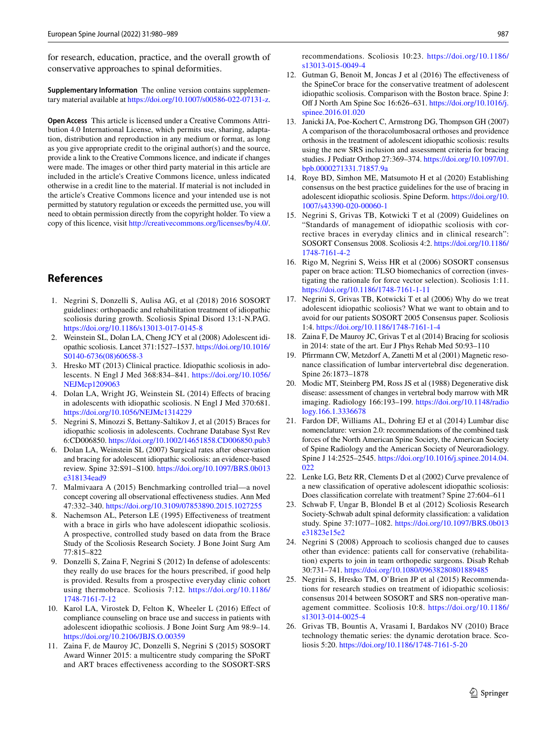for research, education, practice, and the overall growth of conservative approaches to spinal deformities.

**Supplementary Information** The online version contains supplementary material available at<https://doi.org/10.1007/s00586-022-07131-z>.

**Open Access** This article is licensed under a Creative Commons Attribution 4.0 International License, which permits use, sharing, adaptation, distribution and reproduction in any medium or format, as long as you give appropriate credit to the original author(s) and the source, provide a link to the Creative Commons licence, and indicate if changes were made. The images or other third party material in this article are included in the article's Creative Commons licence, unless indicated otherwise in a credit line to the material. If material is not included in the article's Creative Commons licence and your intended use is not permitted by statutory regulation or exceeds the permitted use, you will need to obtain permission directly from the copyright holder. To view a copy of this licence, visit <http://creativecommons.org/licenses/by/4.0/>.

#### **References**

- <span id="page-9-0"></span>1. Negrini S, Donzelli S, Aulisa AG, et al (2018) 2016 SOSORT guidelines: orthopaedic and rehabilitation treatment of idiopathic scoliosis during growth. Scoliosis Spinal Disord 13:1-N.PAG. <https://doi.org/10.1186/s13013-017-0145-8>
- <span id="page-9-1"></span>2. Weinstein SL, Dolan LA, Cheng JCY et al (2008) Adolescent idiopathic scoliosis. Lancet 371:1527–1537. [https://doi.org/10.1016/](https://doi.org/10.1016/S0140-6736(08)60658-3) [S0140-6736\(08\)60658-3](https://doi.org/10.1016/S0140-6736(08)60658-3)
- <span id="page-9-2"></span>3. Hresko MT (2013) Clinical practice. Idiopathic scoliosis in adolescents. N Engl J Med 368:834–841. [https://doi.org/10.1056/](https://doi.org/10.1056/NEJMcp1209063) [NEJMcp1209063](https://doi.org/10.1056/NEJMcp1209063)
- <span id="page-9-3"></span>4. Dolan LA, Wright JG, Weinstein SL (2014) Efects of bracing in adolescents with idiopathic scoliosis. N Engl J Med 370:681. <https://doi.org/10.1056/NEJMc1314229>
- <span id="page-9-4"></span>5. Negrini S, Minozzi S, Bettany-Saltikov J, et al (2015) Braces for idiopathic scoliosis in adolescents. Cochrane Database Syst Rev 6:CD006850.<https://doi.org/10.1002/14651858.CD006850.pub3>
- <span id="page-9-5"></span>6. Dolan LA, Weinstein SL (2007) Surgical rates after observation and bracing for adolescent idiopathic scoliosis: an evidence-based review. Spine 32:S91–S100. [https://doi.org/10.1097/BRS.0b013](https://doi.org/10.1097/BRS.0b013e318134ead9) [e318134ead9](https://doi.org/10.1097/BRS.0b013e318134ead9)
- <span id="page-9-6"></span>7. Malmivaara A (2015) Benchmarking controlled trial—a novel concept covering all observational efectiveness studies. Ann Med 47:332–340.<https://doi.org/10.3109/07853890.2015.1027255>
- <span id="page-9-7"></span>8. Nachemson AL, Peterson LE (1995) Efectiveness of treatment with a brace in girls who have adolescent idiopathic scoliosis. A prospective, controlled study based on data from the Brace Study of the Scoliosis Research Society. J Bone Joint Surg Am 77:815–822
- <span id="page-9-8"></span>9. Donzelli S, Zaina F, Negrini S (2012) In defense of adolescents: they really do use braces for the hours prescribed, if good help is provided. Results from a prospective everyday clinic cohort using thermobrace. Scoliosis 7:12. [https://doi.org/10.1186/](https://doi.org/10.1186/1748-7161-7-12) [1748-7161-7-12](https://doi.org/10.1186/1748-7161-7-12)
- <span id="page-9-9"></span>10. Karol LA, Virostek D, Felton K, Wheeler L (2016) Efect of compliance counseling on brace use and success in patients with adolescent idiopathic scoliosis. J Bone Joint Surg Am 98:9–14. <https://doi.org/10.2106/JBJS.O.00359>
- <span id="page-9-10"></span>11. Zaina F, de Mauroy JC, Donzelli S, Negrini S (2015) SOSORT Award Winner 2015: a multicentre study comparing the SPoRT and ART braces efectiveness according to the SOSORT-SRS

recommendations. Scoliosis 10:23. [https://doi.org/10.1186/](https://doi.org/10.1186/s13013-015-0049-4) [s13013-015-0049-4](https://doi.org/10.1186/s13013-015-0049-4)

- 12. Gutman G, Benoit M, Joncas J et al (2016) The efectiveness of the SpineCor brace for the conservative treatment of adolescent idiopathic scoliosis. Comparison with the Boston brace. Spine J: Of J North Am Spine Soc 16:626–631. [https://doi.org/10.1016/j.](https://doi.org/10.1016/j.spinee.2016.01.020) [spinee.2016.01.020](https://doi.org/10.1016/j.spinee.2016.01.020)
- <span id="page-9-11"></span>13. Janicki JA, Poe-Kochert C, Armstrong DG, Thompson GH (2007) A comparison of the thoracolumbosacral orthoses and providence orthosis in the treatment of adolescent idiopathic scoliosis: results using the new SRS inclusion and assessment criteria for bracing studies. J Pediatr Orthop 27:369–374. [https://doi.org/10.1097/01.](https://doi.org/10.1097/01.bpb.0000271331.71857.9a) [bpb.0000271331.71857.9a](https://doi.org/10.1097/01.bpb.0000271331.71857.9a)
- <span id="page-9-12"></span>14. Roye BD, Simhon ME, Matsumoto H et al (2020) Establishing consensus on the best practice guidelines for the use of bracing in adolescent idiopathic scoliosis. Spine Deform. [https://doi.org/10.](https://doi.org/10.1007/s43390-020-00060-1) [1007/s43390-020-00060-1](https://doi.org/10.1007/s43390-020-00060-1)
- <span id="page-9-13"></span>15. Negrini S, Grivas TB, Kotwicki T et al (2009) Guidelines on "Standards of management of idiopathic scoliosis with corrective braces in everyday clinics and in clinical research": SOSORT Consensus 2008. Scoliosis 4:2. [https://doi.org/10.1186/](https://doi.org/10.1186/1748-7161-4-2) [1748-7161-4-2](https://doi.org/10.1186/1748-7161-4-2)
- <span id="page-9-14"></span>16. Rigo M, Negrini S, Weiss HR et al (2006) SOSORT consensus paper on brace action: TLSO biomechanics of correction (investigating the rationale for force vector selection). Scoliosis 1:11. <https://doi.org/10.1186/1748-7161-1-11>
- <span id="page-9-15"></span>17. Negrini S, Grivas TB, Kotwicki T et al (2006) Why do we treat adolescent idiopathic scoliosis? What we want to obtain and to avoid for our patients SOSORT 2005 Consensus paper. Scoliosis 1:4.<https://doi.org/10.1186/1748-7161-1-4>
- <span id="page-9-16"></span>18. Zaina F, De Mauroy JC, Grivas T et al (2014) Bracing for scoliosis in 2014: state of the art. Eur J Phys Rehab Med 50:93–110
- <span id="page-9-17"></span>19. Pfrrmann CW, Metzdorf A, Zanetti M et al (2001) Magnetic resonance classifcation of lumbar intervertebral disc degeneration. Spine 26:1873–1878
- <span id="page-9-18"></span>20. Modic MT, Steinberg PM, Ross JS et al (1988) Degenerative disk disease: assessment of changes in vertebral body marrow with MR imaging. Radiology 166:193–199. [https://doi.org/10.1148/radio](https://doi.org/10.1148/radiology.166.1.3336678) [logy.166.1.3336678](https://doi.org/10.1148/radiology.166.1.3336678)
- <span id="page-9-19"></span>21. Fardon DF, Williams AL, Dohring EJ et al (2014) Lumbar disc nomenclature: version 2.0: recommendations of the combined task forces of the North American Spine Society, the American Society of Spine Radiology and the American Society of Neuroradiology. Spine J 14:2525–2545. [https://doi.org/10.1016/j.spinee.2014.04.](https://doi.org/10.1016/j.spinee.2014.04.022) [022](https://doi.org/10.1016/j.spinee.2014.04.022)
- <span id="page-9-20"></span>22. Lenke LG, Betz RR, Clements D et al (2002) Curve prevalence of a new classifcation of operative adolescent idiopathic scoliosis: Does classifcation correlate with treatment? Spine 27:604–611
- <span id="page-9-21"></span>23. Schwab F, Ungar B, Blondel B et al (2012) Scoliosis Research Society-Schwab adult spinal deformity classifcation: a validation study. Spine 37:1077–1082. [https://doi.org/10.1097/BRS.0b013](https://doi.org/10.1097/BRS.0b013e31823e15e2) [e31823e15e2](https://doi.org/10.1097/BRS.0b013e31823e15e2)
- <span id="page-9-22"></span>24. Negrini S (2008) Approach to scoliosis changed due to causes other than evidence: patients call for conservative (rehabilitation) experts to join in team orthopedic surgeons. Disab Rehab 30:731–741.<https://doi.org/10.1080/09638280801889485>
- <span id="page-9-23"></span>25. Negrini S, Hresko TM, O'Brien JP et al (2015) Recommendations for research studies on treatment of idiopathic scoliosis: consensus 2014 between SOSORT and SRS non-operative management committee. Scoliosis 10:8. [https://doi.org/10.1186/](https://doi.org/10.1186/s13013-014-0025-4) [s13013-014-0025-4](https://doi.org/10.1186/s13013-014-0025-4)
- <span id="page-9-24"></span>26. Grivas TB, Bountis A, Vrasami I, Bardakos NV (2010) Brace technology thematic series: the dynamic derotation brace. Scoliosis 5:20. <https://doi.org/10.1186/1748-7161-5-20>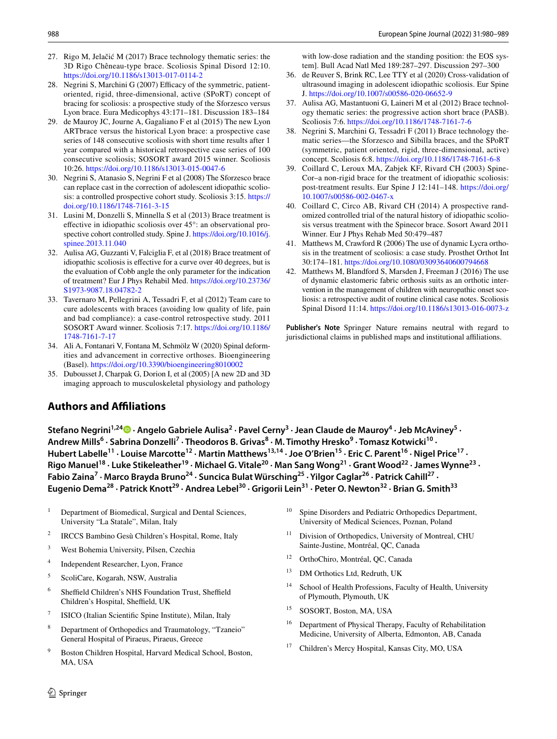- <span id="page-10-0"></span>27. Rigo M, Jelačić M (2017) Brace technology thematic series: the 3D Rigo Chêneau-type brace. Scoliosis Spinal Disord 12:10. <https://doi.org/10.1186/s13013-017-0114-2>
- <span id="page-10-1"></span>28. Negrini S, Marchini G (2007) Efficacy of the symmetric, patientoriented, rigid, three-dimensional, active (SPoRT) concept of bracing for scoliosis: a prospective study of the Sforzesco versus Lyon brace. Eura Medicophys 43:171–181. Discussion 183–184
- <span id="page-10-2"></span>29. de Mauroy JC, Journe A, Gagaliano F et al (2015) The new Lyon ARTbrace versus the historical Lyon brace: a prospective case series of 148 consecutive scoliosis with short time results after 1 year compared with a historical retrospective case series of 100 consecutive scoliosis; SOSORT award 2015 winner. Scoliosis 10:26. <https://doi.org/10.1186/s13013-015-0047-6>
- <span id="page-10-3"></span>30. Negrini S, Atanasio S, Negrini F et al (2008) The Sforzesco brace can replace cast in the correction of adolescent idiopathic scoliosis: a controlled prospective cohort study. Scoliosis 3:15. [https://](https://doi.org/10.1186/1748-7161-3-15) [doi.org/10.1186/1748-7161-3-15](https://doi.org/10.1186/1748-7161-3-15)
- <span id="page-10-4"></span>31. Lusini M, Donzelli S, Minnella S et al (2013) Brace treatment is efective in idiopathic scoliosis over 45°: an observational prospective cohort controlled study. Spine J. [https://doi.org/10.1016/j.](https://doi.org/10.1016/j.spinee.2013.11.040) [spinee.2013.11.040](https://doi.org/10.1016/j.spinee.2013.11.040)
- <span id="page-10-5"></span>32. Aulisa AG, Guzzanti V, Falciglia F, et al (2018) Brace treatment of idiopathic scoliosis is efective for a curve over 40 degrees, but is the evaluation of Cobb angle the only parameter for the indication of treatment? Eur J Phys Rehabil Med. [https://doi.org/10.23736/](https://doi.org/10.23736/S1973-9087.18.04782-2) [S1973-9087.18.04782-2](https://doi.org/10.23736/S1973-9087.18.04782-2)
- <span id="page-10-6"></span>33. Tavernaro M, Pellegrini A, Tessadri F, et al (2012) Team care to cure adolescents with braces (avoiding low quality of life, pain and bad compliance): a case-control retrospective study. 2011 SOSORT Award winner. Scoliosis 7:17. [https://doi.org/10.1186/](https://doi.org/10.1186/1748-7161-7-17) [1748-7161-7-17](https://doi.org/10.1186/1748-7161-7-17)
- <span id="page-10-7"></span>34. Ali A, Fontanari V, Fontana M, Schmölz W (2020) Spinal deformities and advancement in corrective orthoses. Bioengineering (Basel).<https://doi.org/10.3390/bioengineering8010002>
- <span id="page-10-8"></span>35. Dubousset J, Charpak G, Dorion I, et al (2005) [A new 2D and 3D imaging approach to musculoskeletal physiology and pathology

## **Authors and Afliations**

with low-dose radiation and the standing position: the EOS system]. Bull Acad Natl Med 189:287–297. Discussion 297–300

- <span id="page-10-9"></span>36. de Reuver S, Brink RC, Lee TTY et al (2020) Cross-validation of ultrasound imaging in adolescent idiopathic scoliosis. Eur Spine J. <https://doi.org/10.1007/s00586-020-06652-9>
- <span id="page-10-10"></span>37. Aulisa AG, Mastantuoni G, Laineri M et al (2012) Brace technology thematic series: the progressive action short brace (PASB). Scoliosis 7:6. <https://doi.org/10.1186/1748-7161-7-6>
- <span id="page-10-11"></span>38. Negrini S, Marchini G, Tessadri F (2011) Brace technology thematic series—the Sforzesco and Sibilla braces, and the SPoRT (symmetric, patient oriented, rigid, three-dimensional, active) concept. Scoliosis 6:8.<https://doi.org/10.1186/1748-7161-6-8>
- <span id="page-10-12"></span>39. Coillard C, Leroux MA, Zabjek KF, Rivard CH (2003) Spine-Cor–a non-rigid brace for the treatment of idiopathic scoliosis: post-treatment results. Eur Spine J 12:141–148. [https://doi.org/](https://doi.org/10.1007/s00586-002-0467-x) [10.1007/s00586-002-0467-x](https://doi.org/10.1007/s00586-002-0467-x)
- <span id="page-10-13"></span>40. Coillard C, Circo AB, Rivard CH (2014) A prospective randomized controlled trial of the natural history of idiopathic scoliosis versus treatment with the Spinecor brace. Sosort Award 2011 Winner. Eur J Phys Rehab Med 50:479–487
- <span id="page-10-14"></span>41. Matthews M, Crawford R (2006) The use of dynamic Lycra orthosis in the treatment of scoliosis: a case study. Prosthet Orthot Int 30:174–181.<https://doi.org/10.1080/03093640600794668>
- <span id="page-10-15"></span>42. Matthews M, Blandford S, Marsden J, Freeman J (2016) The use of dynamic elastomeric fabric orthosis suits as an orthotic intervention in the management of children with neuropathic onset scoliosis: a retrospective audit of routine clinical case notes. Scoliosis Spinal Disord 11:14.<https://doi.org/10.1186/s13013-016-0073-z>

**Publisher's Note** Springer Nature remains neutral with regard to jurisdictional claims in published maps and institutional affiliations.

StefanoNegrini<sup>1,24</sup> D · Angelo Gabriele Aulisa<sup>2</sup> · Pavel Cerny<sup>3</sup> · Jean Claude de Mauroy<sup>4</sup> · Jeb McAviney<sup>5</sup> · Andrew Mills<sup>6</sup> · Sabrina Donzelli<sup>7</sup> · Theodoros B. Grivas<sup>8</sup> · M. Timothy Hresko<sup>9</sup> · Tomasz Kotwicki<sup>10</sup> · Hubert Labelle<sup>11</sup> · Louise Marcotte<sup>12</sup> · Martin Matthews<sup>13,14</sup> · Joe O'Brien<sup>15</sup> · Eric C. Parent<sup>16</sup> · Nigel Price<sup>17</sup> · Rigo Manuel<sup>18</sup> · Luke Stikeleather<sup>19</sup> · Michael G. Vitale<sup>20</sup> · Man Sang Wong<sup>21</sup> · Grant Wood<sup>22</sup> · James Wynne<sup>23</sup> · Fabio Zaina<sup>7</sup> · Marco Brayda Bruno<sup>24</sup> · Suncica Bulat Würsching<sup>25</sup> · Yilgor Caglar<sup>26</sup> · Patrick Cahill<sup>27</sup> · Eugenio Dema<sup>28</sup> · Patrick Knott<sup>29</sup> · Andrea Lebel<sup>30</sup> · Grigorii Lein<sup>31</sup> · Peter O. Newton<sup>32</sup> · Brian G. Smith<sup>33</sup>

- $1$  Department of Biomedical, Surgical and Dental Sciences, University "La Statale", Milan, Italy
- <sup>2</sup> IRCCS Bambino Gesù Children's Hospital, Rome, Italy
- <sup>3</sup> West Bohemia University, Pilsen, Czechia
- <sup>4</sup> Independent Researcher, Lyon, France
- <sup>5</sup> ScoliCare, Kogarah, NSW, Australia
- $6$  Sheffield Children's NHS Foundation Trust, Sheffield Children's Hospital, Sheffield, UK
- <sup>7</sup> ISICO (Italian Scientifc Spine Institute), Milan, Italy
- Department of Orthopedics and Traumatology, "Tzaneio" General Hospital of Piraeus, Piraeus, Greece
- <sup>9</sup> Boston Children Hospital, Harvard Medical School, Boston, MA, USA
- <sup>10</sup> Spine Disorders and Pediatric Orthopedics Department, University of Medical Sciences, Poznan, Poland
- Division of Orthopedics, University of Montreal, CHU Sainte-Justine, Montréal, QC, Canada
- <sup>12</sup> OrthoChiro, Montréal, QC, Canada
- <sup>13</sup> DM Orthotics Ltd, Redruth, UK
- <sup>14</sup> School of Health Professions, Faculty of Health, University of Plymouth, Plymouth, UK
- <sup>15</sup> SOSORT, Boston, MA, USA
- <sup>16</sup> Department of Physical Therapy, Faculty of Rehabilitation Medicine, University of Alberta, Edmonton, AB, Canada
- <sup>17</sup> Children's Mercy Hospital, Kansas City, MO, USA